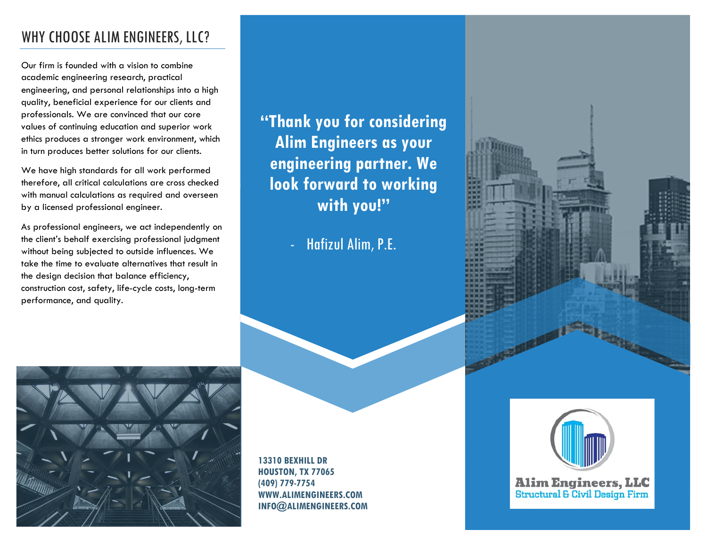## WHY CHOOSE ALIM ENGINEERS, LLC?

Our firm is founded with a vision to combine academic engineering research, practical engineering, and personal relationships into a high quality, beneficial experience for our clients and professionals. We are convinced that our core values of continuing education and superior work ethics produces a stronger work environment, which in turn produces better solutions for our clients.

We have high standards for all work performed therefore, all critical calculations are cross checked with manual calculations as required and overseen by a licensed professional engineer.

As professional engineers, we act independently on the client's behalf exercising professional judgment without being subjected to outside influences. We take the time to evaluate alternatives that result in the design decision that balance efficiency, construction cost, safety, life-cycle costs, long-term performance, and quality.

**"Thank you for considering Alim Engineers as your engineering partner. We look forward to working with you!"**

- Hafizul Alim, P.E.



**13310 BEXHILL DR HOUSTON, TX 77065 (409) 779-7754 WWW.ALIMENGINEERS.COM INFO@ALIMENGINEERS.COM**